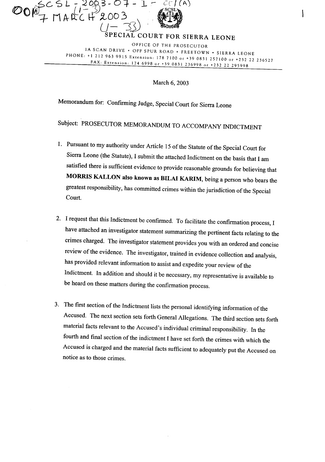

SPECIAL COURT FOR SIERRA LEONE OFFICE OF THE PROSECUTOR IA SCAN DRIVE· OFF SPUR ROAD· FREETOWN· SIERRA LEONE PHONE, +12129639915 Extension: <sup>1787100</sup> or +39 <sup>0831257100</sup> or +232 <sup>22</sup> <sup>236527</sup> FAX: Extension: <sup>174</sup> <sup>6998</sup> or +39 <sup>0831</sup> <sup>236998</sup> or +232 <sup>22</sup> <sup>295998</sup>

March 6, 2003

Memorandum for: Confirming Judge, Special Court for Sierra Leone

Subject: PROSECUTOR MEMORANDUM TO ACCOMPANY INDICTMENT

- 1. Pursuant to my authority under Article 15 of the Statute of the Special Court for Sierra Leone (the Statute), <sup>I</sup> submit the attached Indictment on the basis that <sup>I</sup> am satisfied there is sufficient evidence to provide reasonable grounds for believing that MORRIS KALLON also known as BILAI KARIM, being <sup>a</sup> person who bears the greatest responsibility, has committed crimes within the jurisdiction of the Special Court.
- 2. I request that this Indictment be confirmed. To facilitate the confirmation process, I have attached an investigator statement summarizing the pertinent facts relating to the crimes charged. The investigator statement provides you with an ordered and concise review of the evidence. The investigator, trained in evidence collection and analysis, has provided relevant information to assist and expedite your review of the Indictment. In addition and should it be necessary, my representative is available to be heard on these matters during the confirmation process.
- 3. The first section of the Indictment lists the personal identifying information of the Accused. The next section sets forth General Allegations. The third section sets forth material facts relevant to the Accused's individual criminal responsibility. In the fourth and final section of the indictment I have set forth the crimes with which the Accused is charged and the material facts sufficient to adequately put the Accused on notice as to those crimes.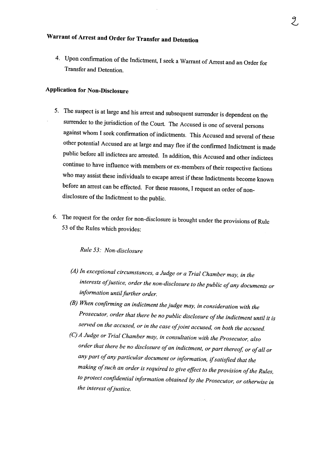## **Warrant of Arrest and Order for Transfer and Detention**

4. Upon confirmation of the Indictment, I seek a Warrant of Arrest and an Order for Transfer and Detention.

## **Application for Non-Disclosure**

- 5. The suspect is at large and his arrest and subsequent surrender is dependent on the surrender to the jurisdiction of the Court. The Accused is one of several persons against whom I seek confirmation of indictments. This Accused and several of these other potential Accused are at large and may flee if the confirmed Indictment is made public before all indictees are arrested. **In** addition, this Accused and other indictees continue to have influence with members or ex-members of their respective factions who may assist these individuals to escape arrest if these Indictments become known before an arrest can be effected. For these reasons, <sup>I</sup> request an order of nondisclosure of the Indictment to the public.
- 6. The request for the order for non-disclosure is brought under the provisions of Rule 53 of the Rules which provides:

## *Rule* 53: *Non-disclosure*

- *(A) In exceptional circumstances, <sup>a</sup> Judge or <sup>a</sup> Trial Chamber may, in the interests ofjustice, order the non-disclosure to the public ofany documents or information untilfurther order.*
- *(B) When confirming an indictment thejudge may, in consideration with the Prosecutor, order that there be no public disclosure ofthe indictment until it is served on the accused, or in the case ofjoint accused, on both the accused.*
- *(C) <sup>A</sup> Judge or Trial Chamber may, in consultation with the Prosecutor, also order that there be no disclosure ofan indictment, or part thereof, or ofall or any part ofany particular document or information, ifsatisfied that the making ofsuch an order is required to give effect to the provision ofthe Rules, to protect confidential information obtained by the Prosecutor, or otherwise in the interest ofjustice.*

 $\overline{\phantom{a}}$ 

Ž